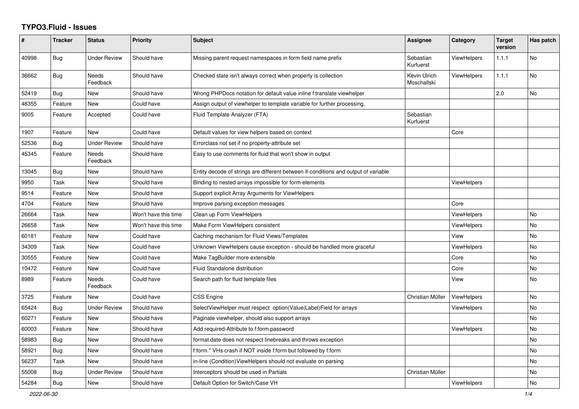## **TYPO3.Fluid - Issues**

| #     | <b>Tracker</b> | <b>Status</b>       | <b>Priority</b>      | <b>Subject</b>                                                                      | Assignee                    | Category           | <b>Target</b><br>version | Has patch |
|-------|----------------|---------------------|----------------------|-------------------------------------------------------------------------------------|-----------------------------|--------------------|--------------------------|-----------|
| 40998 | <b>Bug</b>     | Under Review        | Should have          | Missing parent request namespaces in form field name prefix                         | Sebastian<br>Kurfuerst      | <b>ViewHelpers</b> | 1.1.1                    | <b>No</b> |
| 36662 | Bug            | Needs<br>Feedback   | Should have          | Checked state isn't always correct when property is collection                      | Kevin Ulrich<br>Moschallski | <b>ViewHelpers</b> | 1.1.1                    | <b>No</b> |
| 52419 | Bug            | New                 | Should have          | Wrong PHPDocs notation for default value inline f:translate viewhelper              |                             |                    | 2.0                      | <b>No</b> |
| 48355 | Feature        | New                 | Could have           | Assign output of viewhelper to template variable for further processing.            |                             |                    |                          |           |
| 9005  | Feature        | Accepted            | Could have           | Fluid Template Analyzer (FTA)                                                       | Sebastian<br>Kurfuerst      |                    |                          |           |
| 1907  | Feature        | New                 | Could have           | Default values for view helpers based on context                                    |                             | Core               |                          |           |
| 52536 | Bug            | <b>Under Review</b> | Should have          | Errorclass not set if no property-attribute set                                     |                             |                    |                          |           |
| 45345 | Feature        | Needs<br>Feedback   | Should have          | Easy to use comments for fluid that won't show in output                            |                             |                    |                          |           |
| 13045 | <b>Bug</b>     | <b>New</b>          | Should have          | Entity decode of strings are different between if-conditions and output of variable |                             |                    |                          |           |
| 9950  | Task           | New                 | Should have          | Binding to nested arrays impossible for form-elements                               |                             | ViewHelpers        |                          |           |
| 9514  | Feature        | New                 | Should have          | Support explicit Array Arguments for ViewHelpers                                    |                             |                    |                          |           |
| 4704  | Feature        | New                 | Should have          | Improve parsing exception messages                                                  |                             | Core               |                          |           |
| 26664 | Task           | New                 | Won't have this time | Clean up Form ViewHelpers                                                           |                             | <b>ViewHelpers</b> |                          | <b>No</b> |
| 26658 | Task           | New                 | Won't have this time | Make Form ViewHelpers consistent                                                    |                             | <b>ViewHelpers</b> |                          | No        |
| 60181 | Feature        | New                 | Could have           | Caching mechanism for Fluid Views/Templates                                         |                             | View               |                          | No        |
| 34309 | Task           | <b>New</b>          | Could have           | Unknown ViewHelpers cause exception - should be handled more graceful               |                             | ViewHelpers        |                          | No        |
| 30555 | Feature        | <b>New</b>          | Could have           | Make TagBuilder more extensible                                                     |                             | Core               |                          | <b>No</b> |
| 10472 | Feature        | <b>New</b>          | Could have           | Fluid Standalone distribution                                                       |                             | Core               |                          | <b>No</b> |
| 8989  | Feature        | Needs<br>Feedback   | Could have           | Search path for fluid template files                                                |                             | View               |                          | No        |
| 3725  | Feature        | New                 | Could have           | <b>CSS Engine</b>                                                                   | Christian Müller            | ViewHelpers        |                          | <b>No</b> |
| 65424 | Bug            | Under Review        | Should have          | SelectViewHelper must respect option(Value Label)Field for arrays                   |                             | <b>ViewHelpers</b> |                          | <b>No</b> |
| 60271 | Feature        | New                 | Should have          | Paginate viewhelper, should also support arrays                                     |                             |                    |                          | No        |
| 60003 | Feature        | New                 | Should have          | Add required-Attribute to f:form.password                                           |                             | ViewHelpers        |                          | No        |
| 58983 | <b>Bug</b>     | <b>New</b>          | Should have          | format.date does not respect linebreaks and throws exception                        |                             |                    |                          | <b>No</b> |
| 58921 | Bug            | <b>New</b>          | Should have          | f:form.* VHs crash if NOT inside f:form but followed by f:form                      |                             |                    |                          | <b>No</b> |
| 56237 | Task           | New                 | Should have          | in-line (Condition) ViewHelpers should not evaluate on parsing                      |                             |                    |                          | <b>No</b> |
| 55008 | Bug            | Under Review        | Should have          | Interceptors should be used in Partials                                             | Christian Müller            |                    |                          | No        |
| 54284 | Bug            | New                 | Should have          | Default Option for Switch/Case VH                                                   |                             | <b>ViewHelpers</b> |                          | No        |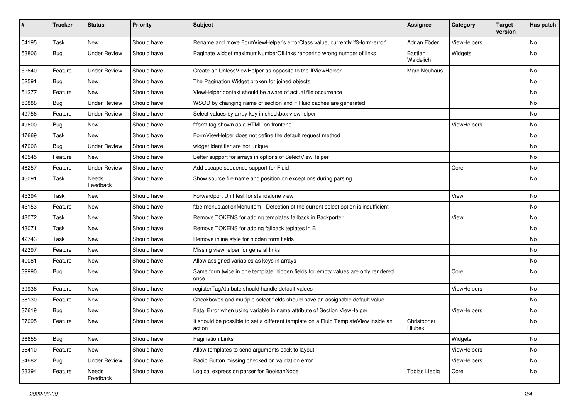| #     | <b>Tracker</b> | <b>Status</b>       | <b>Priority</b> | Subject                                                                                       | <b>Assignee</b>       | Category    | <b>Target</b><br>version | Has patch |
|-------|----------------|---------------------|-----------------|-----------------------------------------------------------------------------------------------|-----------------------|-------------|--------------------------|-----------|
| 54195 | Task           | New                 | Should have     | Rename and move FormViewHelper's errorClass value, currently 'f3-form-error'                  | Adrian Föder          | ViewHelpers |                          | <b>No</b> |
| 53806 | <b>Bug</b>     | <b>Under Review</b> | Should have     | Paginate widget maximumNumberOfLinks rendering wrong number of links                          | Bastian<br>Waidelich  | Widgets     |                          | No        |
| 52640 | Feature        | <b>Under Review</b> | Should have     | Create an UnlessViewHelper as opposite to the IfViewHelper                                    | Marc Neuhaus          |             |                          | <b>No</b> |
| 52591 | Bug            | New                 | Should have     | The Pagination Widget broken for joined objects                                               |                       |             |                          | No        |
| 51277 | Feature        | <b>New</b>          | Should have     | ViewHelper context should be aware of actual file occurrence                                  |                       |             |                          | <b>No</b> |
| 50888 | Bug            | <b>Under Review</b> | Should have     | WSOD by changing name of section and if Fluid caches are generated                            |                       |             |                          | No        |
| 49756 | Feature        | <b>Under Review</b> | Should have     | Select values by array key in checkbox viewhelper                                             |                       |             |                          | No        |
| 49600 | Bug            | <b>New</b>          | Should have     | f:form tag shown as a HTML on frontend                                                        |                       | ViewHelpers |                          | No        |
| 47669 | Task           | <b>New</b>          | Should have     | FormViewHelper does not define the default request method                                     |                       |             |                          | No        |
| 47006 | <b>Bug</b>     | <b>Under Review</b> | Should have     | widget identifier are not unique                                                              |                       |             |                          | No        |
| 46545 | Feature        | New                 | Should have     | Better support for arrays in options of SelectViewHelper                                      |                       |             |                          | No        |
| 46257 | Feature        | <b>Under Review</b> | Should have     | Add escape sequence support for Fluid                                                         |                       | Core        |                          | No        |
| 46091 | Task           | Needs<br>Feedback   | Should have     | Show source file name and position on exceptions during parsing                               |                       |             |                          | No        |
| 45394 | Task           | New                 | Should have     | Forwardport Unit test for standalone view                                                     |                       | View        |                          | No        |
| 45153 | Feature        | <b>New</b>          | Should have     | f:be.menus.actionMenuItem - Detection of the current select option is insufficient            |                       |             |                          | No        |
| 43072 | Task           | New                 | Should have     | Remove TOKENS for adding templates fallback in Backporter                                     |                       | View        |                          | No        |
| 43071 | Task           | New                 | Should have     | Remove TOKENS for adding fallback teplates in B                                               |                       |             |                          | <b>No</b> |
| 42743 | Task           | New                 | Should have     | Remove inline style for hidden form fields                                                    |                       |             |                          | No        |
| 42397 | Feature        | New                 | Should have     | Missing viewhelper for general links                                                          |                       |             |                          | No        |
| 40081 | Feature        | <b>New</b>          | Should have     | Allow assigned variables as keys in arrays                                                    |                       |             |                          | No        |
| 39990 | Bug            | New                 | Should have     | Same form twice in one template: hidden fields for empty values are only rendered<br>once     |                       | Core        |                          | No        |
| 39936 | Feature        | <b>New</b>          | Should have     | registerTagAttribute should handle default values                                             |                       | ViewHelpers |                          | No        |
| 38130 | Feature        | New                 | Should have     | Checkboxes and multiple select fields should have an assignable default value                 |                       |             |                          | No        |
| 37619 | <b>Bug</b>     | New                 | Should have     | Fatal Error when using variable in name attribute of Section ViewHelper                       |                       | ViewHelpers |                          | <b>No</b> |
| 37095 | Feature        | New                 | Should have     | It should be possible to set a different template on a Fluid TemplateView inside an<br>action | Christopher<br>Hlubek |             |                          | No        |
| 36655 | Bug            | New                 | Should have     | Pagination Links                                                                              |                       | Widgets     |                          | No        |
| 36410 | Feature        | New                 | Should have     | Allow templates to send arguments back to layout                                              |                       | ViewHelpers |                          | No        |
| 34682 | Bug            | <b>Under Review</b> | Should have     | Radio Button missing checked on validation error                                              |                       | ViewHelpers |                          | No        |
| 33394 | Feature        | Needs<br>Feedback   | Should have     | Logical expression parser for BooleanNode                                                     | <b>Tobias Liebig</b>  | Core        |                          | No        |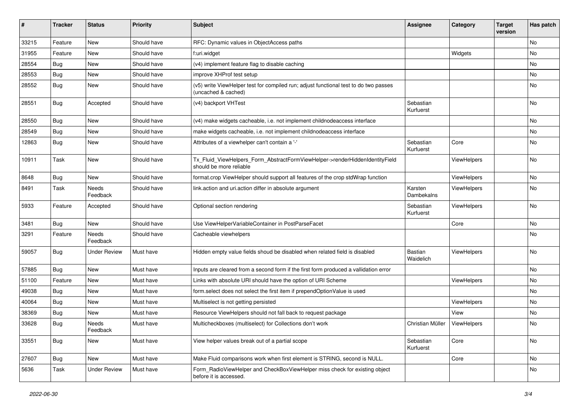| $\pmb{\#}$ | <b>Tracker</b> | <b>Status</b>       | <b>Priority</b> | Subject                                                                                                     | <b>Assignee</b>        | Category    | <b>Target</b><br>version | Has patch |
|------------|----------------|---------------------|-----------------|-------------------------------------------------------------------------------------------------------------|------------------------|-------------|--------------------------|-----------|
| 33215      | Feature        | New                 | Should have     | RFC: Dynamic values in ObjectAccess paths                                                                   |                        |             |                          | No        |
| 31955      | Feature        | New                 | Should have     | f:uri.widget                                                                                                |                        | Widgets     |                          | No        |
| 28554      | <b>Bug</b>     | New                 | Should have     | (v4) implement feature flag to disable caching                                                              |                        |             |                          | No        |
| 28553      | Bug            | New                 | Should have     | improve XHProf test setup                                                                                   |                        |             |                          | No        |
| 28552      | Bug            | New                 | Should have     | (v5) write ViewHelper test for compiled run; adjust functional test to do two passes<br>(uncached & cached) |                        |             |                          | No        |
| 28551      | Bug            | Accepted            | Should have     | (v4) backport VHTest                                                                                        | Sebastian<br>Kurfuerst |             |                          | No        |
| 28550      | Bug            | New                 | Should have     | (v4) make widgets cacheable, i.e. not implement childnodeaccess interface                                   |                        |             |                          | No        |
| 28549      | Bug            | New                 | Should have     | make widgets cacheable, i.e. not implement childnodeaccess interface                                        |                        |             |                          | No        |
| 12863      | <b>Bug</b>     | New                 | Should have     | Attributes of a viewhelper can't contain a '-'                                                              | Sebastian<br>Kurfuerst | Core        |                          | No        |
| 10911      | Task           | New                 | Should have     | Tx_Fluid_ViewHelpers_Form_AbstractFormViewHelper->renderHiddenIdentityField<br>should be more reliable      |                        | ViewHelpers |                          | No        |
| 8648       | Bug            | New                 | Should have     | format.crop ViewHelper should support all features of the crop stdWrap function                             |                        | ViewHelpers |                          | No        |
| 8491       | Task           | Needs<br>Feedback   | Should have     | link.action and uri.action differ in absolute argument                                                      | Karsten<br>Dambekalns  | ViewHelpers |                          | No        |
| 5933       | Feature        | Accepted            | Should have     | Optional section rendering                                                                                  | Sebastian<br>Kurfuerst | ViewHelpers |                          | No        |
| 3481       | Bug            | New                 | Should have     | Use ViewHelperVariableContainer in PostParseFacet                                                           |                        | Core        |                          | No        |
| 3291       | Feature        | Needs<br>Feedback   | Should have     | Cacheable viewhelpers                                                                                       |                        |             |                          | No        |
| 59057      | Bug            | Under Review        | Must have       | Hidden empty value fields shoud be disabled when related field is disabled                                  | Bastian<br>Waidelich   | ViewHelpers |                          | No        |
| 57885      | Bug            | <b>New</b>          | Must have       | Inputs are cleared from a second form if the first form produced a vallidation error                        |                        |             |                          | <b>No</b> |
| 51100      | Feature        | New                 | Must have       | Links with absolute URI should have the option of URI Scheme                                                |                        | ViewHelpers |                          | No        |
| 49038      | Bug            | New                 | Must have       | form.select does not select the first item if prependOptionValue is used                                    |                        |             |                          | No        |
| 40064      | Bug            | New                 | Must have       | Multiselect is not getting persisted                                                                        |                        | ViewHelpers |                          | No        |
| 38369      | Bug            | New                 | Must have       | Resource ViewHelpers should not fall back to request package                                                |                        | View        |                          | No        |
| 33628      | <b>Bug</b>     | Needs<br>Feedback   | Must have       | Multicheckboxes (multiselect) for Collections don't work                                                    | Christian Müller       | ViewHelpers |                          | No        |
| 33551      | Bug            | New                 | Must have       | View helper values break out of a partial scope                                                             | Sebastian<br>Kurfuerst | Core        |                          | No        |
| 27607      | Bug            | New                 | Must have       | Make Fluid comparisons work when first element is STRING, second is NULL.                                   |                        | Core        |                          | No        |
| 5636       | Task           | <b>Under Review</b> | Must have       | Form RadioViewHelper and CheckBoxViewHelper miss check for existing object<br>before it is accessed.        |                        |             |                          | No        |